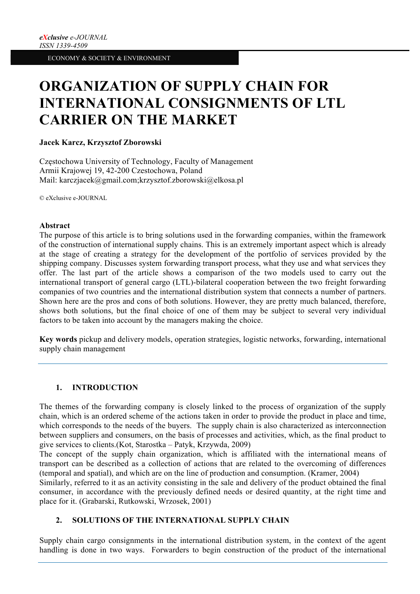# **ORGANIZATION OF SUPPLY CHAIN FOR INTERNATIONAL CONSIGNMENTS OF LTL CARRIER ON THE MARKET**

# **Jacek Karcz, Krzysztof Zborowski**

Częstochowa University of Technology, Faculty of Management Armii Krajowej 19, 42-200 Czestochowa, Poland Mail: karczjacek@gmail.com;krzysztof.zborowski@elkosa.pl

© eXclusive e-JOURNAL

## **Abstract**

The purpose of this article is to bring solutions used in the forwarding companies, within the framework of the construction of international supply chains. This is an extremely important aspect which is already at the stage of creating a strategy for the development of the portfolio of services provided by the shipping company. Discusses system forwarding transport process, what they use and what services they offer. The last part of the article shows a comparison of the two models used to carry out the international transport of general cargo (LTL)-bilateral cooperation between the two freight forwarding companies of two countries and the international distribution system that connects a number of partners. Shown here are the pros and cons of both solutions. However, they are pretty much balanced, therefore, shows both solutions, but the final choice of one of them may be subject to several very individual factors to be taken into account by the managers making the choice.

**Key words** pickup and delivery models, operation strategies, logistic networks, forwarding, international supply chain management

# **1. INTRODUCTION**

The themes of the forwarding company is closely linked to the process of organization of the supply chain, which is an ordered scheme of the actions taken in order to provide the product in place and time, which corresponds to the needs of the buyers. The supply chain is also characterized as interconnection between suppliers and consumers, on the basis of processes and activities, which, as the final product to give services to clients.(Kot, Starostka – Patyk, Krzywda, 2009)

The concept of the supply chain organization, which is affiliated with the international means of transport can be described as a collection of actions that are related to the overcoming of differences (temporal and spatial), and which are on the line of production and consumption. (Kramer, 2004)

Similarly, referred to it as an activity consisting in the sale and delivery of the product obtained the final consumer, in accordance with the previously defined needs or desired quantity, at the right time and place for it. (Grabarski, Rutkowski, Wrzosek, 2001)

# **2. SOLUTIONS OF THE INTERNATIONAL SUPPLY CHAIN**

Supply chain cargo consignments in the international distribution system, in the context of the agent handling is done in two ways. Forwarders to begin construction of the product of the international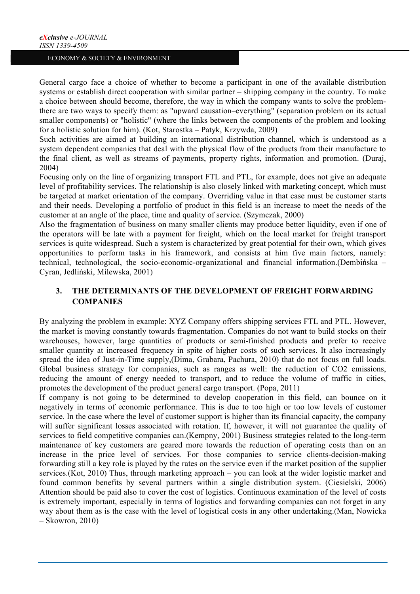General cargo face a choice of whether to become a participant in one of the available distribution systems or establish direct cooperation with similar partner – shipping company in the country. To make a choice between should become, therefore, the way in which the company wants to solve the problemthere are two ways to specify them: as "upward causation–everything" (separation problem on its actual smaller components) or "holistic" (where the links between the components of the problem and looking for a holistic solution for him). (Kot, Starostka – Patyk, Krzywda, 2009)

Such activities are aimed at building an international distribution channel, which is understood as a system dependent companies that deal with the physical flow of the products from their manufacture to the final client, as well as streams of payments, property rights, information and promotion. (Duraj, 2004)

Focusing only on the line of organizing transport FTL and PTL, for example, does not give an adequate level of profitability services. The relationship is also closely linked with marketing concept, which must be targeted at market orientation of the company. Overriding value in that case must be customer starts and their needs. Developing a portfolio of product in this field is an increase to meet the needs of the customer at an angle of the place, time and quality of service. (Szymczak, 2000)

Also the fragmentation of business on many smaller clients may produce better liquidity, even if one of the operators will be late with a payment for freight, which on the local market for freight transport services is quite widespread. Such a system is characterized by great potential for their own, which gives opportunities to perform tasks in his framework, and consists at him five main factors, namely: technical, technological, the socio-economic-organizational and financial information.(Dembińska – Cyran, Jedliński, Milewska, 2001)

# **3. THE DETERMINANTS OF THE DEVELOPMENT OF FREIGHT FORWARDING COMPANIES**

By analyzing the problem in example: XYZ Company offers shipping services FTL and PTL. However, the market is moving constantly towards fragmentation. Companies do not want to build stocks on their warehouses, however, large quantities of products or semi-finished products and prefer to receive smaller quantity at increased frequency in spite of higher costs of such services. It also increasingly spread the idea of Just-in-Time supply,(Dima, Grabara, Pachura, 2010) that do not focus on full loads. Global business strategy for companies, such as ranges as well: the reduction of CO2 emissions, reducing the amount of energy needed to transport, and to reduce the volume of traffic in cities, promotes the development of the product general cargo transport. (Popa, 2011)

If company is not going to be determined to develop cooperation in this field, can bounce on it negatively in terms of economic performance. This is due to too high or too low levels of customer service. In the case where the level of customer support is higher than its financial capacity, the company will suffer significant losses associated with rotation. If, however, it will not guarantee the quality of services to field competitive companies can.(Kempny, 2001) Business strategies related to the long-term maintenance of key customers are geared more towards the reduction of operating costs than on an increase in the price level of services. For those companies to service clients-decision-making forwarding still a key role is played by the rates on the service even if the market position of the supplier services.(Kot, 2010) Thus, through marketing approach – you can look at the wider logistic market and found common benefits by several partners within a single distribution system. (Ciesielski, 2006) Attention should be paid also to cover the cost of logistics. Continuous examination of the level of costs is extremely important, especially in terms of logistics and forwarding companies can not forget in any way about them as is the case with the level of logistical costs in any other undertaking.(Man, Nowicka – Skowron, 2010)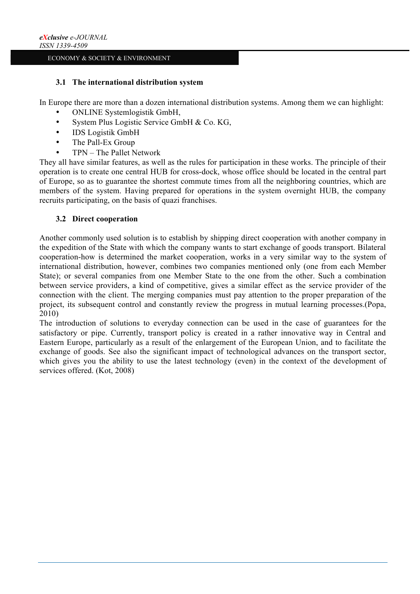# **3.1 The international distribution system**

In Europe there are more than a dozen international distribution systems. Among them we can highlight:

- ONLINE Systemlogistik GmbH,
- System Plus Logistic Service GmbH & Co. KG,
- IDS Logistik GmbH
- The Pall-Ex Group
- TPN The Pallet Network

They all have similar features, as well as the rules for participation in these works. The principle of their operation is to create one central HUB for cross-dock, whose office should be located in the central part of Europe, so as to guarantee the shortest commute times from all the neighboring countries, which are members of the system. Having prepared for operations in the system overnight HUB, the company recruits participating, on the basis of quazi franchises.

# **3.2 Direct cooperation**

Another commonly used solution is to establish by shipping direct cooperation with another company in the expedition of the State with which the company wants to start exchange of goods transport. Bilateral cooperation-how is determined the market cooperation, works in a very similar way to the system of international distribution, however, combines two companies mentioned only (one from each Member State); or several companies from one Member State to the one from the other. Such a combination between service providers, a kind of competitive, gives a similar effect as the service provider of the connection with the client. The merging companies must pay attention to the proper preparation of the project, its subsequent control and constantly review the progress in mutual learning processes.(Popa, 2010)

The introduction of solutions to everyday connection can be used in the case of guarantees for the satisfactory or pipe. Currently, transport policy is created in a rather innovative way in Central and Eastern Europe, particularly as a result of the enlargement of the European Union, and to facilitate the exchange of goods. See also the significant impact of technological advances on the transport sector, which gives you the ability to use the latest technology (even) in the context of the development of services offered. (Kot, 2008)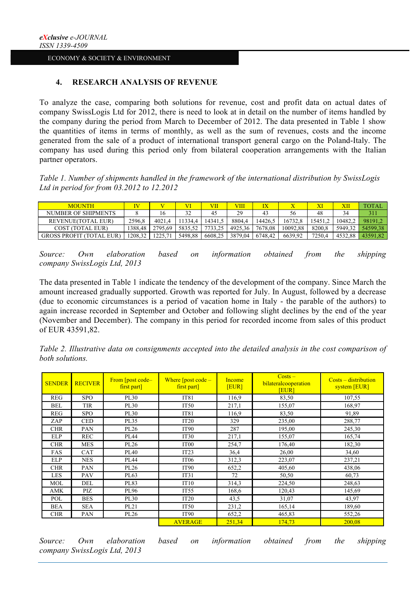# **4. RESEARCH ANALYSIS OF REVENUE**

To analyze the case, comparing both solutions for revenue, cost and profit data on actual dates of company SwissLogis Ltd for 2012, there is need to look at in detail on the number of items handled by the company during the period from March to December of 2012. The data presented in Table 1 show the quantities of items in terms of monthly, as well as the sum of revenues, costs and the income generated from the sale of a product of international transport general cargo on the Poland-Italy. The company has used during this period only from bilateral cooperation arrangements with the Italian partner operators.

*Table 1. Number of shipments handled in the framework of the international distribution by SwissLogis Ltd in period for from 03.2012 to 12.2012*

| MOUNTH                          |         |         |         | VII     | VIII    |         |          |        | XII     | TOTAL    |
|---------------------------------|---------|---------|---------|---------|---------|---------|----------|--------|---------|----------|
| NUMBER OF SHIPMENTS             |         | l 6     | 32      | 45      | 29      | 43      | 56       | 48     | 34      | 311      |
| <b>REVENUE(TOTAL EUR)</b>       | 2596.8  | 4021.4  | 13344   | 14341.5 | 8804.4  | 14426.  | 16732.8  | 5451.  | 10482.4 | 981912   |
| COST (TOTAL EUR)                | 1388.48 | 2795.69 | 5835.52 | 7733.25 | 4925.36 | 7678.08 | 10092.88 | 8200.8 | 5949.32 | 54599.38 |
| <b>GROSS PROFIT (TOTAL EUR)</b> | 208.32  |         | 5498.88 | 6608,25 | 3879.04 | 6748.42 | 6639.92  | 7250.4 | 4532.88 |          |

*Source: Own elaboration based on information obtained from the shipping company SwissLogis Ltd, 2013*

The data presented in Table 1 indicate the tendency of the development of the company. Since March the amount increased gradually supported. Growth was reported for July. In August, followed by a decrease (due to economic circumstances is a period of vacation home in Italy - the parable of the authors) to again increase recorded in September and October and following slight declines by the end of the year (November and December). The company in this period for recorded income from sales of this product of EUR 43591,82.

*Table 2. Illustrative data on consignments accepted into the detailed analysis in the cost comparison of both solutions.*

| <b>SENDER</b> | <b>RECIVER</b> | From [post code-<br>first part] | Where $[post code -]$<br>first part] | Income<br>[EUR] | $Costs -$<br>bilateralcooperation<br><b>EUR</b> | $Costs - distribution$<br>system [EUR] |  |
|---------------|----------------|---------------------------------|--------------------------------------|-----------------|-------------------------------------------------|----------------------------------------|--|
| REG           | <b>SPO</b>     | PL30                            | IT81                                 | 116,9           | 83,50                                           | 107,55                                 |  |
| BEL           | <b>TIR</b>     | PL30                            | <b>IT50</b>                          | 217,1           | 155,07                                          | 168,97                                 |  |
| REG           | <b>SPO</b>     | PL30                            | IT81                                 | 116.9           | 83,50                                           | 91,89                                  |  |
| ZAP           | <b>CED</b>     | PL35                            | IT <sub>20</sub>                     | 329             | 235,00                                          | 288,77                                 |  |
| <b>CHR</b>    | PAN            | PL26                            | IT <sub>90</sub>                     | 287             | 195,00                                          | 245,30                                 |  |
| ELP           | <b>REC</b>     | PL44                            | IT <sub>30</sub>                     | 217,1           | 155,07                                          | 165,74                                 |  |
| <b>CHR</b>    | <b>MES</b>     | PL26                            | IT <sub>00</sub>                     | 254,7           | 176,40                                          | 182,30                                 |  |
| FAS           | CAT            | PL40                            | IT23                                 | 36,4            | 26,00                                           | 34,60                                  |  |
| ELP           | <b>NES</b>     | PL44                            | IT <sub>06</sub>                     | 312,3           | 223,07                                          | 237,21                                 |  |
| <b>CHR</b>    | PAN            | PL26                            | IT <sub>90</sub>                     | 652,2           | 405,60                                          | 438,06                                 |  |
| LES           | <b>PAV</b>     | PL63                            | IT31                                 | 72              | 50,50                                           | 60,73                                  |  |
| MOL           | DEL            | PL83                            | IT10                                 | 314,3           | 224,50                                          | 248,63                                 |  |
| <b>AMK</b>    | PIZ            | PL96                            | IT <sub>55</sub>                     | 168,6           | 120,43                                          | 145,69                                 |  |
| POL           | <b>BES</b>     | <b>PL30</b>                     | IT <sub>20</sub>                     | 43,5            | 31,07                                           | 43,97                                  |  |
| <b>BEA</b>    | <b>SEA</b>     | PL21                            | <b>IT50</b>                          | 231,2           | 165,14                                          | 189,60                                 |  |
| <b>CHR</b>    | PAN            | PL26                            | <b>IT90</b>                          | 652,2           | 465,83                                          | 552,26                                 |  |
|               |                |                                 | <b>AVERAGE</b>                       | 251,34          | 174,73                                          | 200,08                                 |  |

*Source: Own elaboration based on information obtained from the shipping company SwissLogis Ltd, 2013*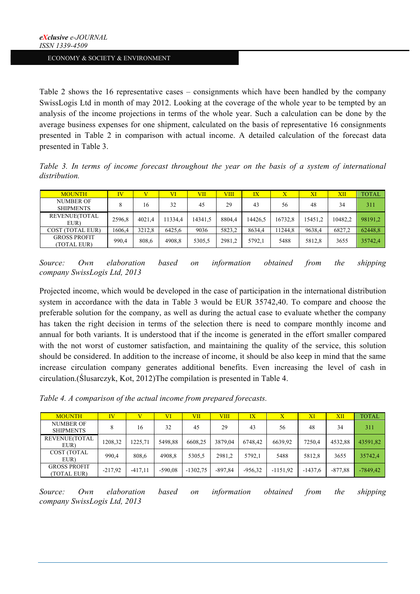Table 2 shows the 16 representative cases – consignments which have been handled by the company SwissLogis Ltd in month of may 2012. Looking at the coverage of the whole year to be tempted by an analysis of the income projections in terms of the whole year. Such a calculation can be done by the average business expenses for one shipment, calculated on the basis of representative 16 consignments presented in Table 2 in comparison with actual income. A detailed calculation of the forecast data presented in Table 3.

*Table 3. In terms of income forecast throughout the year on the basis of a system of international distribution.*

| <b>MOUNTH</b>                        | IV     |        | VI      | VII     | VIII   | IX      |         | XI      | XII     | <b>TOTAL</b> |
|--------------------------------------|--------|--------|---------|---------|--------|---------|---------|---------|---------|--------------|
| <b>NUMBER OF</b><br><b>SHIPMENTS</b> |        | 16     | 32      | 45      | 29     | 43      | 56      | 48      | 34      | 311          |
| REVENUE(TOTAL<br>EUR)                | 2596.8 | 4021.4 | 11334.4 | 14341.5 | 8804.4 | 14426.5 | 16732.8 | 15451.2 | 10482.2 | 98191.2      |
| COST (TOTAL EUR)                     | 1606.4 | 3212.8 | 6425.6  | 9036    | 5823.2 | 8634.4  | 11244.8 | 9638.4  | 6827.2  | 62448,8      |
| <b>GROSS PROFIT</b><br>(TOTAL EUR)   | 990.4  | 808.6  | 4908.8  | 5305.5  | 2981.2 | 5792.1  | 5488    | 5812.8  | 3655    | 35742.4      |

*Source: Own elaboration based on information obtained from the shipping company SwissLogis Ltd, 2013*

Projected income, which would be developed in the case of participation in the international distribution system in accordance with the data in Table 3 would be EUR 35742,40. To compare and choose the preferable solution for the company, as well as during the actual case to evaluate whether the company has taken the right decision in terms of the selection there is need to compare monthly income and annual for both variants. It is understood that if the income is generated in the effort smaller compared with the not worst of customer satisfaction, and maintaining the quality of the service, this solution should be considered. In addition to the increase of income, it should be also keep in mind that the same increase circulation company generates additional benefits. Even increasing the level of cash in circulation.(Ślusarczyk, Kot, 2012)The compilation is presented in Table 4.

*Table 4. A comparison of the actual income from prepared forecasts.*

| <b>MOUNTH</b>                        | <b>IV</b> |           | $\rm{VI}$ | VII        | VIII      | IX        | Х          | XI        | XII       | <b>TOTAL</b> |
|--------------------------------------|-----------|-----------|-----------|------------|-----------|-----------|------------|-----------|-----------|--------------|
| <b>NUMBER OF</b><br><b>SHIPMENTS</b> |           | 16        | 32        | 45         | 29        | 43        | 56         | 48        | 34        | 311          |
| REVENUE(TOTAL<br>EUR)                | 1208,32   | 1225.71   | 5498.88   | 6608.25    | 3879.04   | 6748.42   | 6639.92    | 7250.4    | 4532,88   | 43591,82     |
| <b>COST (TOTAL</b><br>EUR)           | 990.4     | 808,6     | 4908,8    | 5305,5     | 2981.2    | 5792,1    | 5488       | 5812.8    | 3655      | 35742,4      |
| <b>GROSS PROFIT</b><br>(TOTAL EUR)   | $-217,92$ | $-417,11$ | $-590.08$ | $-1302.75$ | $-897.84$ | $-956.32$ | $-1151.92$ | $-1437.6$ | $-877,88$ | $-7849.42$   |

*Source: Own elaboration based on information obtained from the shipping company SwissLogis Ltd, 2013*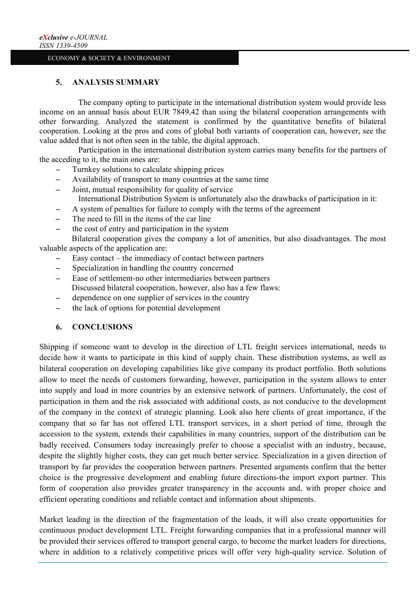# **5. ANALYSIS SUMMARY**

The company opting to participate in the international distribution system would provide less income on an annual basis about EUR 7849,42 than using the bilateral cooperation arrangements with other forwarding. Analyzed the statement is confirmed by the quantitative benefits of bilateral cooperation. Looking at the pros and cons of global both variants of cooperation can, however, see the value added that is not often seen in the table, the digital approach.

Participation in the international distribution system carries many benefits for the partners of the acceding to it, the main ones are:

- − Turnkey solutions to calculate shipping prices
- − Availability of transport to many countries at the same time
- Joint, mutual responsibility for quality of service International Distribution System is unfortunately also the drawbacks of participation in it:
- A system of penalties for failure to comply with the terms of the agreement
- − The need to fill in the items of the car line
- the cost of entry and participation in the system

Bilateral cooperation gives the company a lot of amenities, but also disadvantages. The most valuable aspects of the application are:

- − Easy contact the immediacy of contact between partners
- Specialization in handling the country concerned
- − Ease of settlement-no other intermediaries between partners Discussed bilateral cooperation, however, also has a few flaws:
- − dependence on one supplier of services in the country
- the lack of options for potential development

# **6. CONCLUSIONS**

Shipping if someone want to develop in the direction of LTL freight services international, needs to decide how it wants to participate in this kind of supply chain. These distribution systems, as well as bilateral cooperation on developing capabilities like give company its product portfolio. Both solutions allow to meet the needs of customers forwarding, however, participation in the system allows to enter into supply and load in more countries by an extensive network of partners. Unfortunately, the cost of participation in them and the risk associated with additional costs, as not conducive to the development of the company in the context of strategic planning. Look also here clients of great importance, if the company that so far has not offered LTL transport services, in a short period of time, through the accession to the system, extends their capabilities in many countries, support of the distribution can be badly received. Consumers today increasingly prefer to choose a specialist with an industry, because, despite the slightly higher costs, they can get much better service. Specialization in a given direction of transport by far provides the cooperation between partners. Presented arguments confirm that the better choice is the progressive development and enabling future directions-the import export partner. This form of cooperation also provides greater transparency in the accounts and, with proper choice and efficient operating conditions and reliable contact and information about shipments.

Market leading in the direction of the fragmentation of the loads, it will also create opportunities for continuous product development LTL. Freight forwarding companies that in a professional manner will be provided their services offered to transport general cargo, to become the market leaders for directions, where in addition to a relatively competitive prices will offer very high-quality service. Solution of